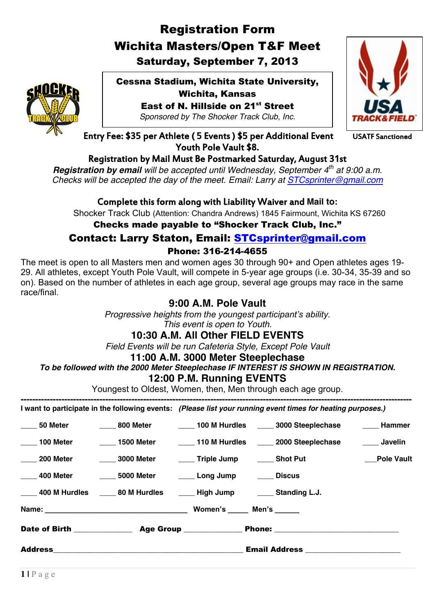# Registration Form Wichita Masters/Open T&F Meet Saturday, September 7, 2013



Cessna Stadium, Wichita State University, Wichita, Kansas East of N. Hillside on 21<sup>st</sup> Street

*Sponsored by The Shocker Track Club, Inc.*



Entry Fee: \$35 per Athlete (5 Events) \$5 per Additional Event USATF Sanctioned Youth Pole Vault \$8.

## Registration by Mail Must Be Postmarked Saturday, August 31st

*Registration by email will be accepted until Wednesday, September 4th at 9:00 a.m. Checks will be accepted the day of the meet. Email: Larry at [STCsprinter@gmail.com](mailto:STCsprinter@gmail.com)*

## Complete this form along with Liability Waiver and **Mail to:**

Shocker Track Club (Attention: Chandra Andrews) 1845 Fairmount, Wichita KS 67260

## Checks made payable to "Shocker Track Club, Inc."

# Contact: Larry Staton, Email: [STCsprinter@gmail.com](mailto:STCsprinter@gmail.com)

#### Phone: 316-214-4655

The meet is open to all Masters men and women ages 30 through 90+ and Open athletes ages 19- 29. All athletes, except Youth Pole Vault, will compete in 5-year age groups (i.e. 30-34, 35-39 and so on). Based on the number of athletes in each age group, several age groups may race in the same race/final.

## **9:00 A.M. Pole Vault**

*Progressive heights from the youngest participant's ability. This event is open to Youth.*

## **10:30 A.M. All Other FIELD EVENTS**

*Field Events will be run Cafeteria Style, Except Pole Vault*

#### **11:00 A.M. 3000 Meter Steeplechase**

# *To be followed with the 2000 Meter Steeplechase IF INTEREST IS SHOWN IN REGISTRATION.*

## **12:00 P.M. Running EVENTS**

Youngest to Oldest, Women, then, Men through each age group.

**-------------------------------------------------------------------------------------------------------------------------------------- I want to participate in the following events:** *(Please list your running event times for heating purposes.)*

|           | _____ 400 M Hurdles ______ 80 M Hurdles ______ High Jump ______ Standing L.J.        |  |                   |
|-----------|--------------------------------------------------------------------------------------|--|-------------------|
|           |                                                                                      |  |                   |
| 200 Meter | _____ 3000 Meter    _____ Triple Jump   _____ Shot Put                               |  | <b>Pole Vault</b> |
|           | 100 Meter 1500 Meter 110 M Hurdles 2000 Steeplechase                                 |  | Javelin           |
|           | 50 Meter       800 Meter    ____ 100 M Hurdles  ____ 3000 Steeplechase   ____ Hammer |  |                   |
|           |                                                                                      |  |                   |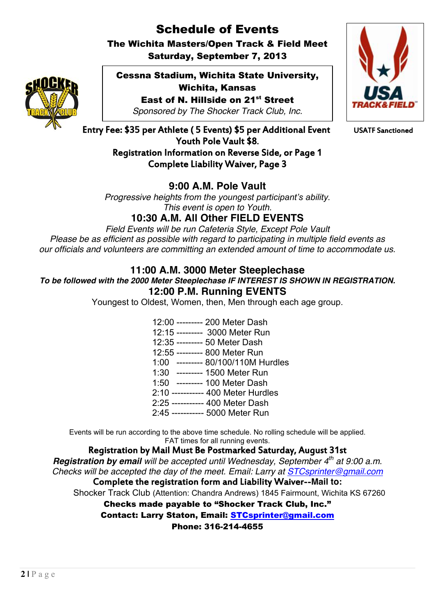# Schedule of Events

The Wichita Masters/Open Track & Field Meet Saturday, September 7, 2013



Cessna Stadium, Wichita State University, Wichita, Kansas East of N. Hillside on 21<sup>st</sup> Street

*Sponsored by The Shocker Track Club, Inc.*



Entry Fee: \$35 per Athlete (5 Events) \$5 per Additional Event USATF Sanctioned Youth Pole Vault \$8. Registration Information on Reverse Side, or Page 1 Complete Liability Waiver, Page 3

# **9:00 A.M. Pole Vault**

*Progressive heights from the youngest participant's ability. This event is open to Youth.*

**10:30 A.M. All Other FIELD EVENTS**

*Field Events will be run Cafeteria Style, Except Pole Vault Please be as efficient as possible with regard to participating in multiple field events as our officials and volunteers are committing an extended amount of time to accommodate us.*

## **11:00 A.M. 3000 Meter Steeplechase**

*To be followed with the 2000 Meter Steeplechase IF INTEREST IS SHOWN IN REGISTRATION.* **12:00 P.M. Running EVENTS**

Youngest to Oldest, Women, then, Men through each age group.

12:00 --------- 200 Meter Dash 12:15 --------- 3000 Meter Run 12:35 --------- 50 Meter Dash 12:55 --------- 800 Meter Run 1:00 --------- 80/100/110M Hurdles 1:30 --------- 1500 Meter Run 1:50 --------- 100 Meter Dash 2:10 ----------- 400 Meter Hurdles 2:25 ----------- 400 Meter Dash 2:45 ----------- 5000 Meter Run

Events will be run according to the above time schedule. No rolling schedule will be applied. FAT times for all running events.

Registration by Mail Must Be Postmarked Saturday, August 31st

*Registration by email will be accepted until Wednesday, September 4th at 9:00 a.m. Checks will be accepted the day of the meet. Email: Larry at [STCsprinter@gmail.com](mailto:STCsprinter@gmail.com)* Complete the registration form and Liability Waiver--**Mail to:**

Shocker Track Club (Attention: Chandra Andrews) 1845 Fairmount, Wichita KS 67260

Checks made payable to "Shocker Track Club, Inc."

Contact: Larry Staton, Email: [STCsprinter@gmail.com](mailto:STCsprinter@gmail.com)

Phone: 316-214-4655